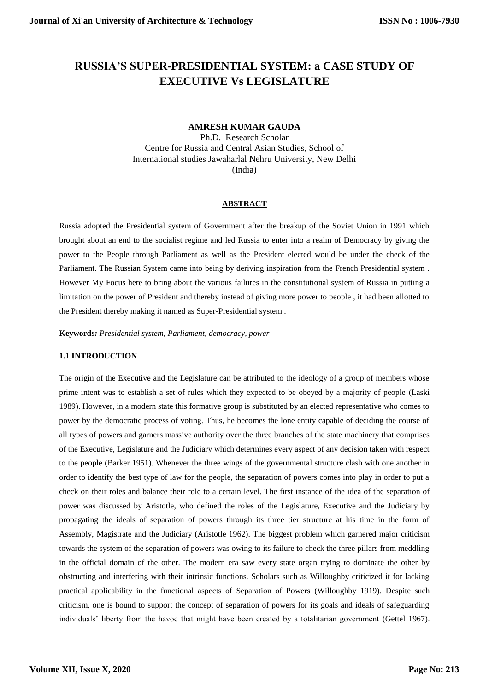# **RUSSIA'S SUPER-PRESIDENTIAL SYSTEM: a CASE STUDY OF EXECUTIVE Vs LEGISLATURE**

# **AMRESH KUMAR GAUDA**

Ph.D. Research Scholar Centre for Russia and Central Asian Studies, School of International studies Jawaharlal Nehru University, New Delhi (India)

# **ABSTRACT**

Russia adopted the Presidential system of Government after the breakup of the Soviet Union in 1991 which brought about an end to the socialist regime and led Russia to enter into a realm of Democracy by giving the power to the People through Parliament as well as the President elected would be under the check of the Parliament. The Russian System came into being by deriving inspiration from the French Presidential system . However My Focus here to bring about the various failures in the constitutional system of Russia in putting a limitation on the power of President and thereby instead of giving more power to people , it had been allotted to the President thereby making it named as Super-Presidential system .

**Keywords***: Presidential system, Parliament, democracy, power* 

# **1.1 INTRODUCTION**

The origin of the Executive and the Legislature can be attributed to the ideology of a group of members whose prime intent was to establish a set of rules which they expected to be obeyed by a majority of people (Laski 1989). However, in a modern state this formative group is substituted by an elected representative who comes to power by the democratic process of voting. Thus, he becomes the lone entity capable of deciding the course of all types of powers and garners massive authority over the three branches of the state machinery that comprises of the Executive, Legislature and the Judiciary which determines every aspect of any decision taken with respect to the people (Barker 1951). Whenever the three wings of the governmental structure clash with one another in order to identify the best type of law for the people, the separation of powers comes into play in order to put a check on their roles and balance their role to a certain level. The first instance of the idea of the separation of power was discussed by Aristotle, who defined the roles of the Legislature, Executive and the Judiciary by propagating the ideals of separation of powers through its three tier structure at his time in the form of Assembly, Magistrate and the Judiciary (Aristotle 1962). The biggest problem which garnered major criticism towards the system of the separation of powers was owing to its failure to check the three pillars from meddling in the official domain of the other. The modern era saw every state organ trying to dominate the other by obstructing and interfering with their intrinsic functions. Scholars such as Willoughby criticized it for lacking practical applicability in the functional aspects of Separation of Powers (Willoughby 1919). Despite such criticism, one is bound to support the concept of separation of powers for its goals and ideals of safeguarding individuals" liberty from the havoc that might have been created by a totalitarian government (Gettel 1967).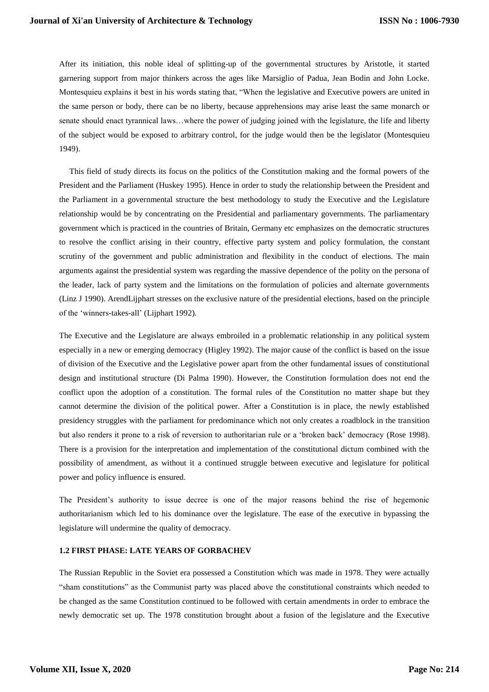After its initiation, this noble ideal of splitting-up of the governmental structures by Aristotle, it started garnering support from major thinkers across the ages like Marsiglio of Padua, Jean Bodin and John Locke. Montesquieu explains it best in his words stating that, "When the legislative and Executive powers are united in the same person or body, there can be no liberty, because apprehensions may arise least the same monarch or senate should enact tyrannical laws...where the power of judging joined with the legislature, the life and liberty of the subject would be exposed to arbitrary control, for the judge would then be the legislator (Montesquieu 1949).

 This field of study directs its focus on the politics of the Constitution making and the formal powers of the President and the Parliament (Huskey 1995). Hence in order to study the relationship between the President and the Parliament in a governmental structure the best methodology to study the Executive and the Legislature relationship would be by concentrating on the Presidential and parliamentary governments. The parliamentary government which is practiced in the countries of Britain, Germany etc emphasizes on the democratic structures to resolve the conflict arising in their country, effective party system and policy formulation, the constant scrutiny of the government and public administration and flexibility in the conduct of elections. The main arguments against the presidential system was regarding the massive dependence of the polity on the persona of the leader, lack of party system and the limitations on the formulation of policies and alternate governments (Linz J 1990). ArendLijphart stresses on the exclusive nature of the presidential elections, based on the principle of the "winners-takes-all" (Lijphart 1992).

The Executive and the Legislature are always embroiled in a problematic relationship in any political system especially in a new or emerging democracy (Higley 1992). The major cause of the conflict is based on the issue of division of the Executive and the Legislative power apart from the other fundamental issues of constitutional design and institutional structure (Di Palma 1990). However, the Constitution formulation does not end the conflict upon the adoption of a constitution. The formal rules of the Constitution no matter shape but they cannot determine the division of the political power. After a Constitution is in place, the newly established presidency struggles with the parliament for predominance which not only creates a roadblock in the transition but also renders it prone to a risk of reversion to authoritarian rule or a "broken back" democracy (Rose 1998). There is a provision for the interpretation and implementation of the constitutional dictum combined with the possibility of amendment, as without it a continued struggle between executive and legislature for political power and policy influence is ensured.

The President"s authority to issue decree is one of the major reasons behind the rise of hegemonic authoritarianism which led to his dominance over the legislature. The ease of the executive in bypassing the legislature will undermine the quality of democracy.

### **1.2 FIRST PHASE: LATE YEARS OF GORBACHEV**

The Russian Republic in the Soviet era possessed a Constitution which was made in 1978. They were actually "sham constitutions" as the Communist party was placed above the constitutional constraints which needed to be changed as the same Constitution continued to be followed with certain amendments in order to embrace the newly democratic set up. The 1978 constitution brought about a fusion of the legislature and the Executive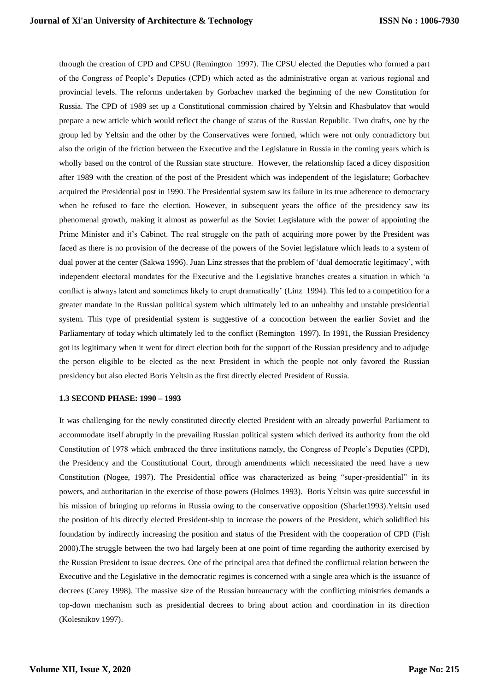through the creation of CPD and CPSU (Remington 1997). The CPSU elected the Deputies who formed a part of the Congress of People"s Deputies (CPD) which acted as the administrative organ at various regional and provincial levels. The reforms undertaken by Gorbachev marked the beginning of the new Constitution for Russia. The CPD of 1989 set up a Constitutional commission chaired by Yeltsin and Khasbulatov that would prepare a new article which would reflect the change of status of the Russian Republic. Two drafts, one by the group led by Yeltsin and the other by the Conservatives were formed, which were not only contradictory but also the origin of the friction between the Executive and the Legislature in Russia in the coming years which is wholly based on the control of the Russian state structure. However, the relationship faced a dicey disposition after 1989 with the creation of the post of the President which was independent of the legislature; Gorbachev acquired the Presidential post in 1990. The Presidential system saw its failure in its true adherence to democracy when he refused to face the election. However, in subsequent years the office of the presidency saw its phenomenal growth, making it almost as powerful as the Soviet Legislature with the power of appointing the Prime Minister and it's Cabinet. The real struggle on the path of acquiring more power by the President was faced as there is no provision of the decrease of the powers of the Soviet legislature which leads to a system of dual power at the center (Sakwa 1996). Juan Linz stresses that the problem of 'dual democratic legitimacy', with independent electoral mandates for the Executive and the Legislative branches creates a situation in which "a conflict is always latent and sometimes likely to erupt dramatically" (Linz 1994). This led to a competition for a greater mandate in the Russian political system which ultimately led to an unhealthy and unstable presidential system. This type of presidential system is suggestive of a concoction between the earlier Soviet and the Parliamentary of today which ultimately led to the conflict (Remington 1997). In 1991, the Russian Presidency got its legitimacy when it went for direct election both for the support of the Russian presidency and to adjudge the person eligible to be elected as the next President in which the people not only favored the Russian presidency but also elected Boris Yeltsin as the first directly elected President of Russia.

### **1.3 SECOND PHASE: 1990 – 1993**

It was challenging for the newly constituted directly elected President with an already powerful Parliament to accommodate itself abruptly in the prevailing Russian political system which derived its authority from the old Constitution of 1978 which embraced the three institutions namely, the Congress of People"s Deputies (CPD), the Presidency and the Constitutional Court, through amendments which necessitated the need have a new Constitution (Nogee, 1997). The Presidential office was characterized as being "super-presidential" in its powers, and authoritarian in the exercise of those powers (Holmes 1993). Boris Yeltsin was quite successful in his mission of bringing up reforms in Russia owing to the conservative opposition (Sharlet1993).Yeltsin used the position of his directly elected President-ship to increase the powers of the President, which solidified his foundation by indirectly increasing the position and status of the President with the cooperation of CPD (Fish 2000).The struggle between the two had largely been at one point of time regarding the authority exercised by the Russian President to issue decrees. One of the principal area that defined the conflictual relation between the Executive and the Legislative in the democratic regimes is concerned with a single area which is the issuance of decrees (Carey 1998). The massive size of the Russian bureaucracy with the conflicting ministries demands a top-down mechanism such as presidential decrees to bring about action and coordination in its direction (Kolesnikov 1997).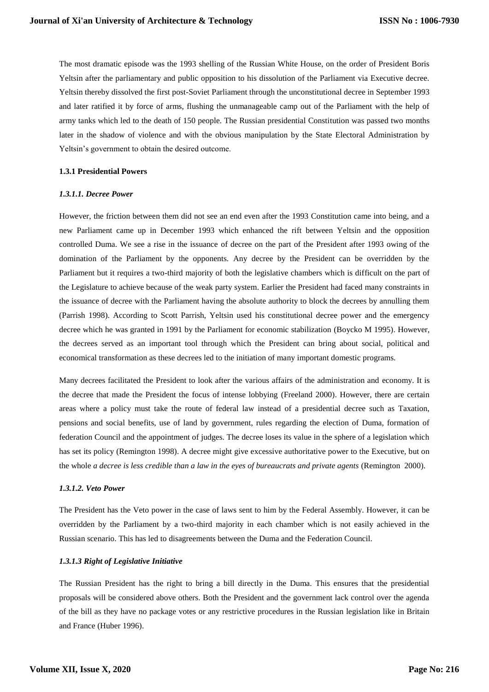The most dramatic episode was the 1993 shelling of the Russian White House, on the order of President Boris Yeltsin after the parliamentary and public opposition to his dissolution of the Parliament via Executive decree. Yeltsin thereby dissolved the first post-Soviet Parliament through the unconstitutional decree in September 1993 and later ratified it by force of arms, flushing the unmanageable camp out of the Parliament with the help of army tanks which led to the death of 150 people. The Russian presidential Constitution was passed two months later in the shadow of violence and with the obvious manipulation by the State Electoral Administration by Yeltsin"s government to obtain the desired outcome.

## **1.3.1 Presidential Powers**

## *1.3.1.1. Decree Power*

However, the friction between them did not see an end even after the 1993 Constitution came into being, and a new Parliament came up in December 1993 which enhanced the rift between Yeltsin and the opposition controlled Duma. We see a rise in the issuance of decree on the part of the President after 1993 owing of the domination of the Parliament by the opponents. Any decree by the President can be overridden by the Parliament but it requires a two-third majority of both the legislative chambers which is difficult on the part of the Legislature to achieve because of the weak party system. Earlier the President had faced many constraints in the issuance of decree with the Parliament having the absolute authority to block the decrees by annulling them (Parrish 1998). According to Scott Parrish, Yeltsin used his constitutional decree power and the emergency decree which he was granted in 1991 by the Parliament for economic stabilization (Boycko M 1995). However, the decrees served as an important tool through which the President can bring about social, political and economical transformation as these decrees led to the initiation of many important domestic programs.

Many decrees facilitated the President to look after the various affairs of the administration and economy. It is the decree that made the President the focus of intense lobbying (Freeland 2000). However, there are certain areas where a policy must take the route of federal law instead of a presidential decree such as Taxation, pensions and social benefits, use of land by government, rules regarding the election of Duma, formation of federation Council and the appointment of judges. The decree loses its value in the sphere of a legislation which has set its policy (Remington 1998). A decree might give excessive authoritative power to the Executive, but on the whole *a decree is less credible than a law in the eyes of bureaucrats and private agents* (Remington 2000).

## *1.3.1.2. Veto Power*

The President has the Veto power in the case of laws sent to him by the Federal Assembly. However, it can be overridden by the Parliament by a two-third majority in each chamber which is not easily achieved in the Russian scenario. This has led to disagreements between the Duma and the Federation Council.

# *1.3.1.3 Right of Legislative Initiative*

The Russian President has the right to bring a bill directly in the Duma. This ensures that the presidential proposals will be considered above others. Both the President and the government lack control over the agenda of the bill as they have no package votes or any restrictive procedures in the Russian legislation like in Britain and France (Huber 1996).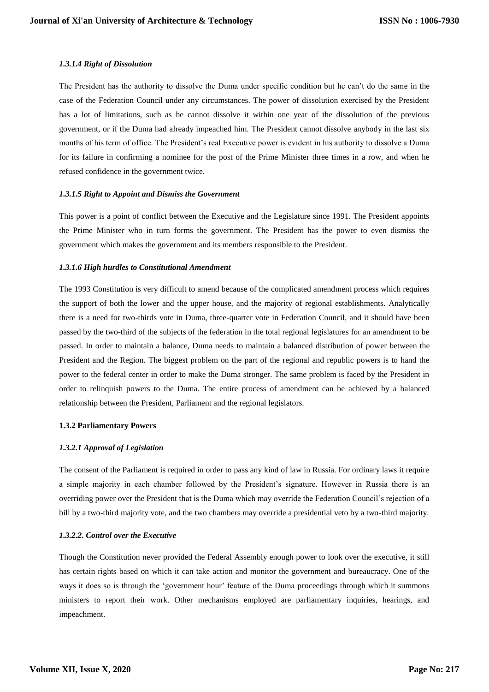## *1.3.1.4 Right of Dissolution*

The President has the authority to dissolve the Duma under specific condition but he can"t do the same in the case of the Federation Council under any circumstances. The power of dissolution exercised by the President has a lot of limitations, such as he cannot dissolve it within one year of the dissolution of the previous government, or if the Duma had already impeached him. The President cannot dissolve anybody in the last six months of his term of office. The President's real Executive power is evident in his authority to dissolve a Duma for its failure in confirming a nominee for the post of the Prime Minister three times in a row, and when he refused confidence in the government twice.

## *1.3.1.5 Right to Appoint and Dismiss the Government*

This power is a point of conflict between the Executive and the Legislature since 1991. The President appoints the Prime Minister who in turn forms the government. The President has the power to even dismiss the government which makes the government and its members responsible to the President.

## *1.3.1.6 High hurdles to Constitutional Amendment*

The 1993 Constitution is very difficult to amend because of the complicated amendment process which requires the support of both the lower and the upper house, and the majority of regional establishments. Analytically there is a need for two-thirds vote in Duma, three-quarter vote in Federation Council, and it should have been passed by the two-third of the subjects of the federation in the total regional legislatures for an amendment to be passed. In order to maintain a balance, Duma needs to maintain a balanced distribution of power between the President and the Region. The biggest problem on the part of the regional and republic powers is to hand the power to the federal center in order to make the Duma stronger. The same problem is faced by the President in order to relinquish powers to the Duma. The entire process of amendment can be achieved by a balanced relationship between the President, Parliament and the regional legislators.

## **1.3.2 Parliamentary Powers**

# *1.3.2.1 Approval of Legislation*

The consent of the Parliament is required in order to pass any kind of law in Russia. For ordinary laws it require a simple majority in each chamber followed by the President"s signature. However in Russia there is an overriding power over the President that is the Duma which may override the Federation Council"s rejection of a bill by a two-third majority vote, and the two chambers may override a presidential veto by a two-third majority.

# *1.3.2.2. Control over the Executive*

Though the Constitution never provided the Federal Assembly enough power to look over the executive, it still has certain rights based on which it can take action and monitor the government and bureaucracy. One of the ways it does so is through the "government hour" feature of the Duma proceedings through which it summons ministers to report their work. Other mechanisms employed are parliamentary inquiries, hearings, and impeachment.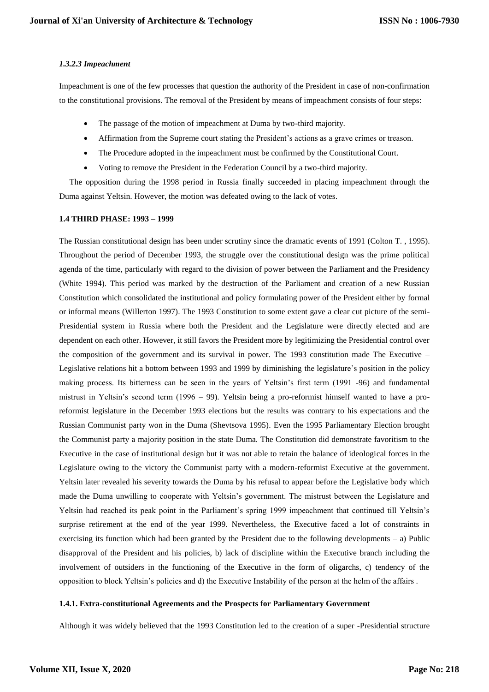## *1.3.2.3 Impeachment*

Impeachment is one of the few processes that question the authority of the President in case of non-confirmation to the constitutional provisions. The removal of the President by means of impeachment consists of four steps:

- The passage of the motion of impeachment at Duma by two-third majority.
- Affirmation from the Supreme court stating the President's actions as a grave crimes or treason.
- The Procedure adopted in the impeachment must be confirmed by the Constitutional Court.
- Voting to remove the President in the Federation Council by a two-third majority.

 The opposition during the 1998 period in Russia finally succeeded in placing impeachment through the Duma against Yeltsin. However, the motion was defeated owing to the lack of votes.

### **1.4 THIRD PHASE: 1993 – 1999**

The Russian constitutional design has been under scrutiny since the dramatic events of 1991 (Colton T. , 1995). Throughout the period of December 1993, the struggle over the constitutional design was the prime political agenda of the time, particularly with regard to the division of power between the Parliament and the Presidency (White 1994). This period was marked by the destruction of the Parliament and creation of a new Russian Constitution which consolidated the institutional and policy formulating power of the President either by formal or informal means (Willerton 1997). The 1993 Constitution to some extent gave a clear cut picture of the semi-Presidential system in Russia where both the President and the Legislature were directly elected and are dependent on each other. However, it still favors the President more by legitimizing the Presidential control over the composition of the government and its survival in power. The 1993 constitution made The Executive – Legislative relations hit a bottom between 1993 and 1999 by diminishing the legislature"s position in the policy making process. Its bitterness can be seen in the years of Yeltsin"s first term (1991 -96) and fundamental mistrust in Yeltsin's second term (1996 – 99). Yeltsin being a pro-reformist himself wanted to have a proreformist legislature in the December 1993 elections but the results was contrary to his expectations and the Russian Communist party won in the Duma (Shevtsova 1995). Even the 1995 Parliamentary Election brought the Communist party a majority position in the state Duma. The Constitution did demonstrate favoritism to the Executive in the case of institutional design but it was not able to retain the balance of ideological forces in the Legislature owing to the victory the Communist party with a modern-reformist Executive at the government. Yeltsin later revealed his severity towards the Duma by his refusal to appear before the Legislative body which made the Duma unwilling to cooperate with Yeltsin"s government. The mistrust between the Legislature and Yeltsin had reached its peak point in the Parliament's spring 1999 impeachment that continued till Yeltsin's surprise retirement at the end of the year 1999. Nevertheless, the Executive faced a lot of constraints in exercising its function which had been granted by the President due to the following developments – a) Public disapproval of the President and his policies, b) lack of discipline within the Executive branch including the involvement of outsiders in the functioning of the Executive in the form of oligarchs, c) tendency of the opposition to block Yeltsin"s policies and d) the Executive Instability of the person at the helm of the affairs .

## **1.4.1. Extra-constitutional Agreements and the Prospects for Parliamentary Government**

Although it was widely believed that the 1993 Constitution led to the creation of a super -Presidential structure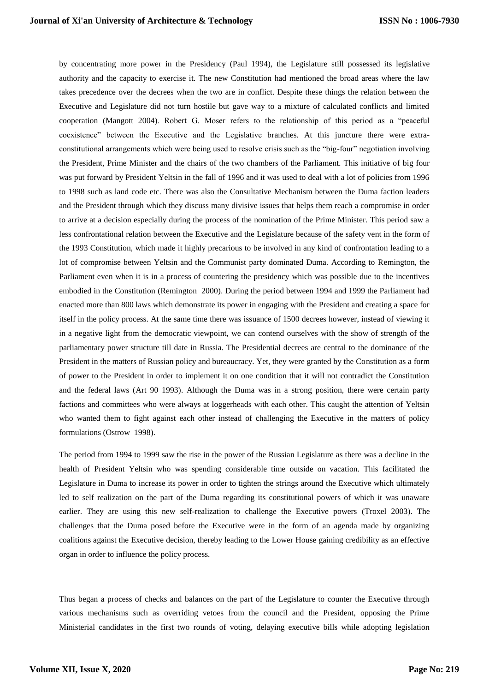by concentrating more power in the Presidency (Paul 1994), the Legislature still possessed its legislative authority and the capacity to exercise it. The new Constitution had mentioned the broad areas where the law takes precedence over the decrees when the two are in conflict. Despite these things the relation between the Executive and Legislature did not turn hostile but gave way to a mixture of calculated conflicts and limited cooperation (Mangott 2004). Robert G. Moser refers to the relationship of this period as a "peaceful coexistence" between the Executive and the Legislative branches. At this juncture there were extraconstitutional arrangements which were being used to resolve crisis such as the "big-four" negotiation involving the President, Prime Minister and the chairs of the two chambers of the Parliament. This initiative of big four was put forward by President Yeltsin in the fall of 1996 and it was used to deal with a lot of policies from 1996 to 1998 such as land code etc. There was also the Consultative Mechanism between the Duma faction leaders and the President through which they discuss many divisive issues that helps them reach a compromise in order to arrive at a decision especially during the process of the nomination of the Prime Minister. This period saw a less confrontational relation between the Executive and the Legislature because of the safety vent in the form of the 1993 Constitution, which made it highly precarious to be involved in any kind of confrontation leading to a lot of compromise between Yeltsin and the Communist party dominated Duma. According to Remington, the Parliament even when it is in a process of countering the presidency which was possible due to the incentives embodied in the Constitution (Remington 2000). During the period between 1994 and 1999 the Parliament had enacted more than 800 laws which demonstrate its power in engaging with the President and creating a space for itself in the policy process. At the same time there was issuance of 1500 decrees however, instead of viewing it in a negative light from the democratic viewpoint, we can contend ourselves with the show of strength of the parliamentary power structure till date in Russia. The Presidential decrees are central to the dominance of the President in the matters of Russian policy and bureaucracy. Yet, they were granted by the Constitution as a form of power to the President in order to implement it on one condition that it will not contradict the Constitution and the federal laws (Art 90 1993). Although the Duma was in a strong position, there were certain party factions and committees who were always at loggerheads with each other. This caught the attention of Yeltsin who wanted them to fight against each other instead of challenging the Executive in the matters of policy formulations (Ostrow 1998).

The period from 1994 to 1999 saw the rise in the power of the Russian Legislature as there was a decline in the health of President Yeltsin who was spending considerable time outside on vacation. This facilitated the Legislature in Duma to increase its power in order to tighten the strings around the Executive which ultimately led to self realization on the part of the Duma regarding its constitutional powers of which it was unaware earlier. They are using this new self-realization to challenge the Executive powers (Troxel 2003). The challenges that the Duma posed before the Executive were in the form of an agenda made by organizing coalitions against the Executive decision, thereby leading to the Lower House gaining credibility as an effective organ in order to influence the policy process.

Thus began a process of checks and balances on the part of the Legislature to counter the Executive through various mechanisms such as overriding vetoes from the council and the President, opposing the Prime Ministerial candidates in the first two rounds of voting, delaying executive bills while adopting legislation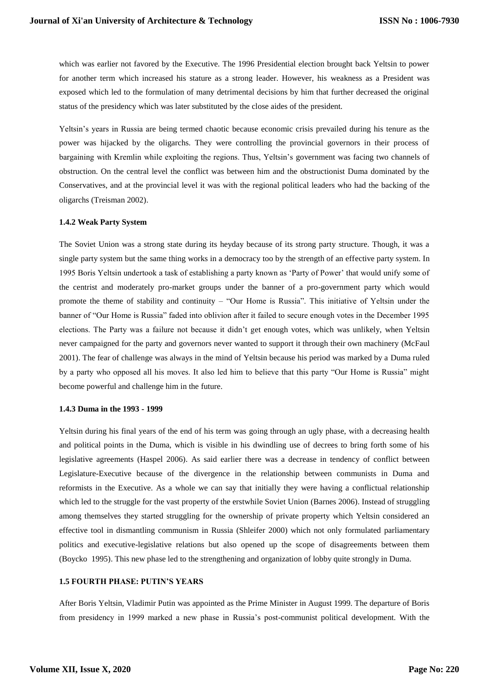which was earlier not favored by the Executive. The 1996 Presidential election brought back Yeltsin to power for another term which increased his stature as a strong leader. However, his weakness as a President was exposed which led to the formulation of many detrimental decisions by him that further decreased the original status of the presidency which was later substituted by the close aides of the president.

Yeltsin"s years in Russia are being termed chaotic because economic crisis prevailed during his tenure as the power was hijacked by the oligarchs. They were controlling the provincial governors in their process of bargaining with Kremlin while exploiting the regions. Thus, Yeltsin"s government was facing two channels of obstruction. On the central level the conflict was between him and the obstructionist Duma dominated by the Conservatives, and at the provincial level it was with the regional political leaders who had the backing of the oligarchs (Treisman 2002).

### **1.4.2 Weak Party System**

The Soviet Union was a strong state during its heyday because of its strong party structure. Though, it was a single party system but the same thing works in a democracy too by the strength of an effective party system. In 1995 Boris Yeltsin undertook a task of establishing a party known as "Party of Power" that would unify some of the centrist and moderately pro-market groups under the banner of a pro-government party which would promote the theme of stability and continuity – "Our Home is Russia". This initiative of Yeltsin under the banner of "Our Home is Russia" faded into oblivion after it failed to secure enough votes in the December 1995 elections. The Party was a failure not because it didn"t get enough votes, which was unlikely, when Yeltsin never campaigned for the party and governors never wanted to support it through their own machinery (McFaul 2001). The fear of challenge was always in the mind of Yeltsin because his period was marked by a Duma ruled by a party who opposed all his moves. It also led him to believe that this party "Our Home is Russia" might become powerful and challenge him in the future.

## **1.4.3 Duma in the 1993 - 1999**

Yeltsin during his final years of the end of his term was going through an ugly phase, with a decreasing health and political points in the Duma, which is visible in his dwindling use of decrees to bring forth some of his legislative agreements (Haspel 2006). As said earlier there was a decrease in tendency of conflict between Legislature-Executive because of the divergence in the relationship between communists in Duma and reformists in the Executive. As a whole we can say that initially they were having a conflictual relationship which led to the struggle for the vast property of the erstwhile Soviet Union (Barnes 2006). Instead of struggling among themselves they started struggling for the ownership of private property which Yeltsin considered an effective tool in dismantling communism in Russia (Shleifer 2000) which not only formulated parliamentary politics and executive-legislative relations but also opened up the scope of disagreements between them (Boycko 1995). This new phase led to the strengthening and organization of lobby quite strongly in Duma.

## **1.5 FOURTH PHASE: PUTIN'S YEARS**

After Boris Yeltsin, Vladimir Putin was appointed as the Prime Minister in August 1999. The departure of Boris from presidency in 1999 marked a new phase in Russia"s post-communist political development. With the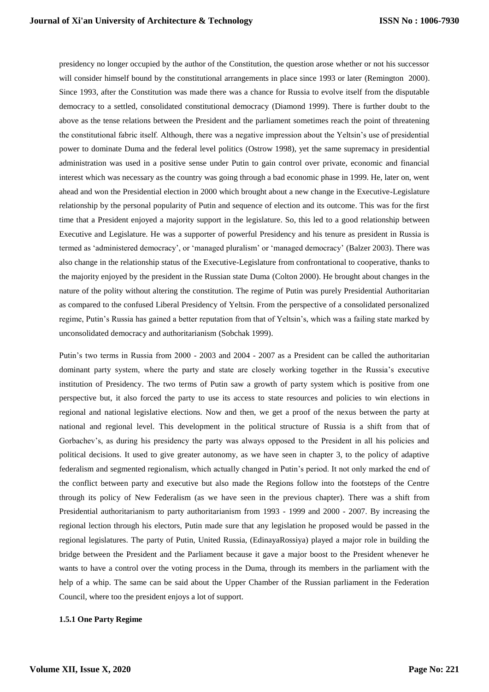presidency no longer occupied by the author of the Constitution, the question arose whether or not his successor will consider himself bound by the constitutional arrangements in place since 1993 or later (Remington 2000). Since 1993, after the Constitution was made there was a chance for Russia to evolve itself from the disputable democracy to a settled, consolidated constitutional democracy (Diamond 1999). There is further doubt to the above as the tense relations between the President and the parliament sometimes reach the point of threatening the constitutional fabric itself. Although, there was a negative impression about the Yeltsin"s use of presidential power to dominate Duma and the federal level politics (Ostrow 1998), yet the same supremacy in presidential administration was used in a positive sense under Putin to gain control over private, economic and financial interest which was necessary as the country was going through a bad economic phase in 1999. He, later on, went ahead and won the Presidential election in 2000 which brought about a new change in the Executive-Legislature relationship by the personal popularity of Putin and sequence of election and its outcome. This was for the first time that a President enjoyed a majority support in the legislature. So, this led to a good relationship between Executive and Legislature. He was a supporter of powerful Presidency and his tenure as president in Russia is termed as "administered democracy", or "managed pluralism" or "managed democracy" (Balzer 2003). There was also change in the relationship status of the Executive-Legislature from confrontational to cooperative, thanks to the majority enjoyed by the president in the Russian state Duma (Colton 2000). He brought about changes in the nature of the polity without altering the constitution. The regime of Putin was purely Presidential Authoritarian as compared to the confused Liberal Presidency of Yeltsin. From the perspective of a consolidated personalized regime, Putin's Russia has gained a better reputation from that of Yeltsin's, which was a failing state marked by unconsolidated democracy and authoritarianism (Sobchak 1999).

Putin"s two terms in Russia from 2000 - 2003 and 2004 - 2007 as a President can be called the authoritarian dominant party system, where the party and state are closely working together in the Russia"s executive institution of Presidency. The two terms of Putin saw a growth of party system which is positive from one perspective but, it also forced the party to use its access to state resources and policies to win elections in regional and national legislative elections. Now and then, we get a proof of the nexus between the party at national and regional level. This development in the political structure of Russia is a shift from that of Gorbachev's, as during his presidency the party was always opposed to the President in all his policies and political decisions. It used to give greater autonomy, as we have seen in chapter 3, to the policy of adaptive federalism and segmented regionalism, which actually changed in Putin"s period. It not only marked the end of the conflict between party and executive but also made the Regions follow into the footsteps of the Centre through its policy of New Federalism (as we have seen in the previous chapter). There was a shift from Presidential authoritarianism to party authoritarianism from 1993 - 1999 and 2000 - 2007. By increasing the regional lection through his electors, Putin made sure that any legislation he proposed would be passed in the regional legislatures. The party of Putin, United Russia, (EdinayaRossiya) played a major role in building the bridge between the President and the Parliament because it gave a major boost to the President whenever he wants to have a control over the voting process in the Duma, through its members in the parliament with the help of a whip. The same can be said about the Upper Chamber of the Russian parliament in the Federation Council, where too the president enjoys a lot of support.

# **1.5.1 One Party Regime**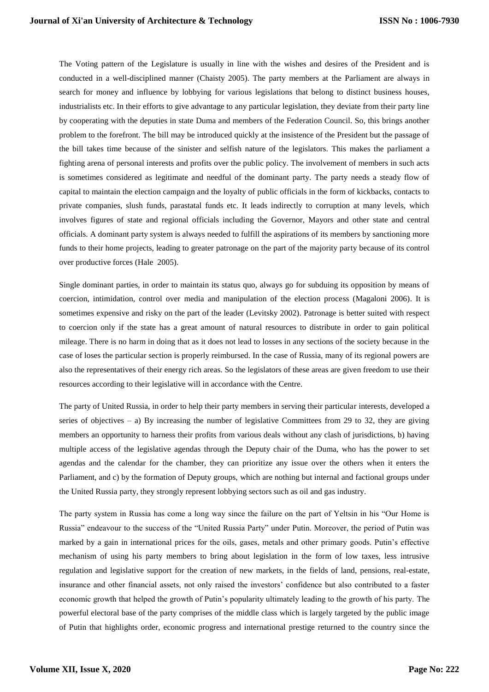The Voting pattern of the Legislature is usually in line with the wishes and desires of the President and is conducted in a well-disciplined manner (Chaisty 2005). The party members at the Parliament are always in search for money and influence by lobbying for various legislations that belong to distinct business houses, industrialists etc. In their efforts to give advantage to any particular legislation, they deviate from their party line by cooperating with the deputies in state Duma and members of the Federation Council. So, this brings another problem to the forefront. The bill may be introduced quickly at the insistence of the President but the passage of the bill takes time because of the sinister and selfish nature of the legislators. This makes the parliament a fighting arena of personal interests and profits over the public policy. The involvement of members in such acts is sometimes considered as legitimate and needful of the dominant party. The party needs a steady flow of capital to maintain the election campaign and the loyalty of public officials in the form of kickbacks, contacts to private companies, slush funds, parastatal funds etc. It leads indirectly to corruption at many levels, which involves figures of state and regional officials including the Governor, Mayors and other state and central officials. A dominant party system is always needed to fulfill the aspirations of its members by sanctioning more funds to their home projects, leading to greater patronage on the part of the majority party because of its control over productive forces (Hale 2005).

Single dominant parties, in order to maintain its status quo, always go for subduing its opposition by means of coercion, intimidation, control over media and manipulation of the election process (Magaloni 2006). It is sometimes expensive and risky on the part of the leader (Levitsky 2002). Patronage is better suited with respect to coercion only if the state has a great amount of natural resources to distribute in order to gain political mileage. There is no harm in doing that as it does not lead to losses in any sections of the society because in the case of loses the particular section is properly reimbursed. In the case of Russia, many of its regional powers are also the representatives of their energy rich areas. So the legislators of these areas are given freedom to use their resources according to their legislative will in accordance with the Centre.

The party of United Russia, in order to help their party members in serving their particular interests, developed a series of objectives – a) By increasing the number of legislative Committees from 29 to 32, they are giving members an opportunity to harness their profits from various deals without any clash of jurisdictions, b) having multiple access of the legislative agendas through the Deputy chair of the Duma, who has the power to set agendas and the calendar for the chamber, they can prioritize any issue over the others when it enters the Parliament, and c) by the formation of Deputy groups, which are nothing but internal and factional groups under the United Russia party, they strongly represent lobbying sectors such as oil and gas industry.

The party system in Russia has come a long way since the failure on the part of Yeltsin in his "Our Home is Russia" endeavour to the success of the "United Russia Party" under Putin. Moreover, the period of Putin was marked by a gain in international prices for the oils, gases, metals and other primary goods. Putin"s effective mechanism of using his party members to bring about legislation in the form of low taxes, less intrusive regulation and legislative support for the creation of new markets, in the fields of land, pensions, real-estate, insurance and other financial assets, not only raised the investors" confidence but also contributed to a faster economic growth that helped the growth of Putin"s popularity ultimately leading to the growth of his party. The powerful electoral base of the party comprises of the middle class which is largely targeted by the public image of Putin that highlights order, economic progress and international prestige returned to the country since the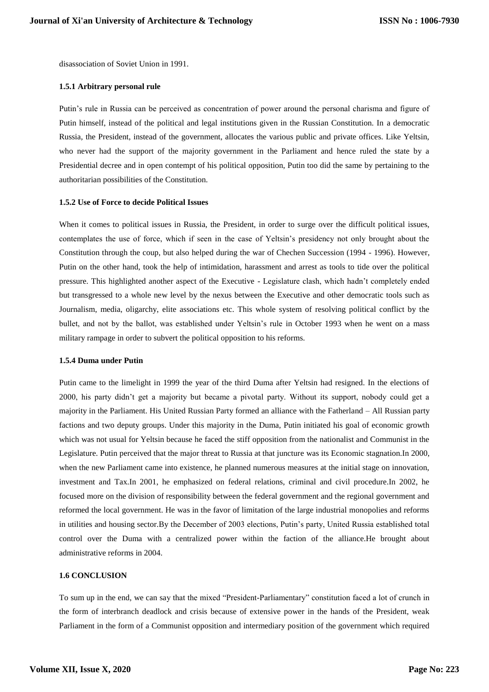disassociation of Soviet Union in 1991.

## **1.5.1 Arbitrary personal rule**

Putin"s rule in Russia can be perceived as concentration of power around the personal charisma and figure of Putin himself, instead of the political and legal institutions given in the Russian Constitution. In a democratic Russia, the President, instead of the government, allocates the various public and private offices. Like Yeltsin, who never had the support of the majority government in the Parliament and hence ruled the state by a Presidential decree and in open contempt of his political opposition, Putin too did the same by pertaining to the authoritarian possibilities of the Constitution.

## **1.5.2 Use of Force to decide Political Issues**

When it comes to political issues in Russia, the President, in order to surge over the difficult political issues, contemplates the use of force, which if seen in the case of Yeltsin"s presidency not only brought about the Constitution through the coup, but also helped during the war of Chechen Succession (1994 - 1996). However, Putin on the other hand, took the help of intimidation, harassment and arrest as tools to tide over the political pressure. This highlighted another aspect of the Executive - Legislature clash, which hadn"t completely ended but transgressed to a whole new level by the nexus between the Executive and other democratic tools such as Journalism, media, oligarchy, elite associations etc. This whole system of resolving political conflict by the bullet, and not by the ballot, was established under Yeltsin"s rule in October 1993 when he went on a mass military rampage in order to subvert the political opposition to his reforms.

### **1.5.4 Duma under Putin**

Putin came to the limelight in 1999 the year of the third Duma after Yeltsin had resigned. In the elections of 2000, his party didn"t get a majority but became a pivotal party. Without its support, nobody could get a majority in the Parliament. His United Russian Party formed an alliance with the Fatherland – All Russian party factions and two deputy groups. Under this majority in the Duma, Putin initiated his goal of economic growth which was not usual for Yeltsin because he faced the stiff opposition from the nationalist and Communist in the Legislature. Putin perceived that the major threat to Russia at that juncture was its Economic stagnation.In 2000, when the new Parliament came into existence, he planned numerous measures at the initial stage on innovation, investment and Tax.In 2001, he emphasized on federal relations, criminal and civil procedure.In 2002, he focused more on the division of responsibility between the federal government and the regional government and reformed the local government. He was in the favor of limitation of the large industrial monopolies and reforms in utilities and housing sector.By the December of 2003 elections, Putin's party, United Russia established total control over the Duma with a centralized power within the faction of the alliance.He brought about administrative reforms in 2004.

# **1.6 CONCLUSION**

To sum up in the end, we can say that the mixed "President-Parliamentary" constitution faced a lot of crunch in the form of interbranch deadlock and crisis because of extensive power in the hands of the President, weak Parliament in the form of a Communist opposition and intermediary position of the government which required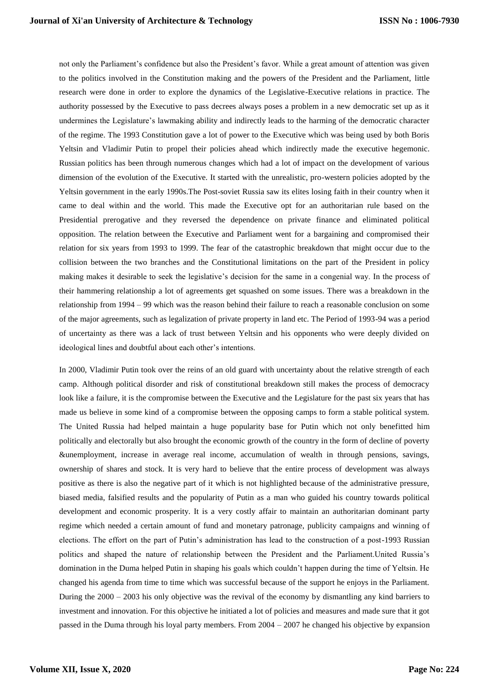not only the Parliament"s confidence but also the President"s favor. While a great amount of attention was given to the politics involved in the Constitution making and the powers of the President and the Parliament, little research were done in order to explore the dynamics of the Legislative-Executive relations in practice. The authority possessed by the Executive to pass decrees always poses a problem in a new democratic set up as it undermines the Legislature"s lawmaking ability and indirectly leads to the harming of the democratic character of the regime. The 1993 Constitution gave a lot of power to the Executive which was being used by both Boris Yeltsin and Vladimir Putin to propel their policies ahead which indirectly made the executive hegemonic. Russian politics has been through numerous changes which had a lot of impact on the development of various dimension of the evolution of the Executive. It started with the unrealistic, pro-western policies adopted by the Yeltsin government in the early 1990s.The Post-soviet Russia saw its elites losing faith in their country when it came to deal within and the world. This made the Executive opt for an authoritarian rule based on the Presidential prerogative and they reversed the dependence on private finance and eliminated political opposition. The relation between the Executive and Parliament went for a bargaining and compromised their relation for six years from 1993 to 1999. The fear of the catastrophic breakdown that might occur due to the collision between the two branches and the Constitutional limitations on the part of the President in policy making makes it desirable to seek the legislative"s decision for the same in a congenial way. In the process of their hammering relationship a lot of agreements get squashed on some issues. There was a breakdown in the relationship from 1994 – 99 which was the reason behind their failure to reach a reasonable conclusion on some of the major agreements, such as legalization of private property in land etc. The Period of 1993-94 was a period of uncertainty as there was a lack of trust between Yeltsin and his opponents who were deeply divided on ideological lines and doubtful about each other"s intentions.

In 2000, Vladimir Putin took over the reins of an old guard with uncertainty about the relative strength of each camp. Although political disorder and risk of constitutional breakdown still makes the process of democracy look like a failure, it is the compromise between the Executive and the Legislature for the past six years that has made us believe in some kind of a compromise between the opposing camps to form a stable political system. The United Russia had helped maintain a huge popularity base for Putin which not only benefitted him politically and electorally but also brought the economic growth of the country in the form of decline of poverty &unemployment, increase in average real income, accumulation of wealth in through pensions, savings, ownership of shares and stock. It is very hard to believe that the entire process of development was always positive as there is also the negative part of it which is not highlighted because of the administrative pressure, biased media, falsified results and the popularity of Putin as a man who guided his country towards political development and economic prosperity. It is a very costly affair to maintain an authoritarian dominant party regime which needed a certain amount of fund and monetary patronage, publicity campaigns and winning of elections. The effort on the part of Putin"s administration has lead to the construction of a post-1993 Russian politics and shaped the nature of relationship between the President and the Parliament.United Russia"s domination in the Duma helped Putin in shaping his goals which couldn"t happen during the time of Yeltsin. He changed his agenda from time to time which was successful because of the support he enjoys in the Parliament. During the 2000 – 2003 his only objective was the revival of the economy by dismantling any kind barriers to investment and innovation. For this objective he initiated a lot of policies and measures and made sure that it got passed in the Duma through his loyal party members. From 2004 – 2007 he changed his objective by expansion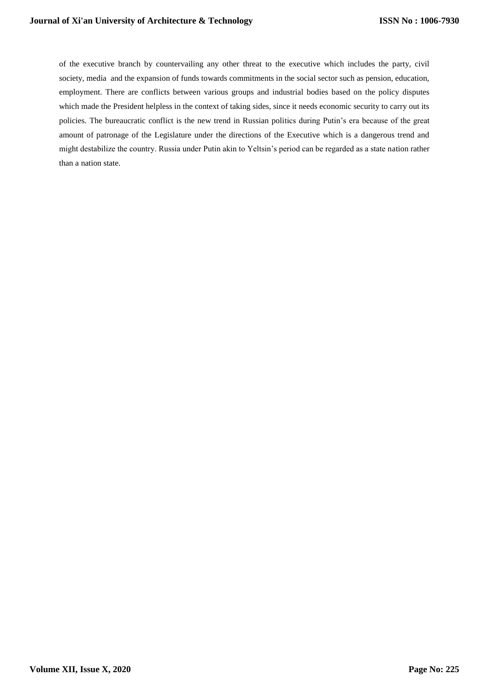of the executive branch by countervailing any other threat to the executive which includes the party, civil society, media and the expansion of funds towards commitments in the social sector such as pension, education, employment. There are conflicts between various groups and industrial bodies based on the policy disputes which made the President helpless in the context of taking sides, since it needs economic security to carry out its policies. The bureaucratic conflict is the new trend in Russian politics during Putin's era because of the great amount of patronage of the Legislature under the directions of the Executive which is a dangerous trend and might destabilize the country. Russia under Putin akin to Yeltsin"s period can be regarded as a state nation rather than a nation state.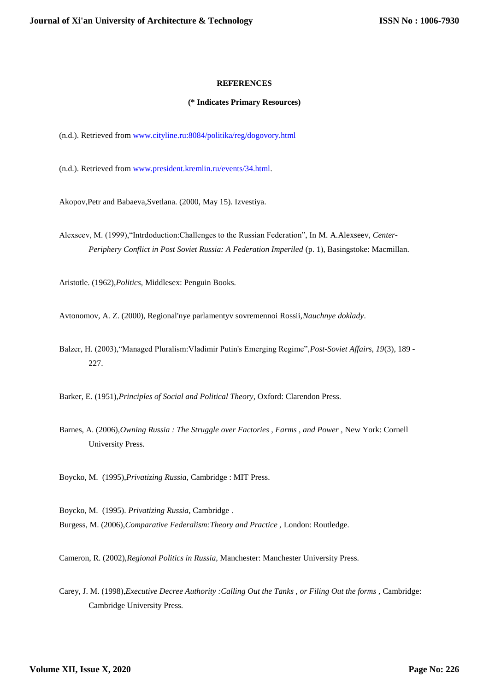## **REFERENCES**

## **(\* Indicates Primary Resources)**

(n.d.). Retrieved from [www.cityline.ru:8084/politika/reg/dogovory.html](http://www.cityline.ru:8084/politika/reg/dogovory.html)

(n.d.). Retrieved from [www.president.kremlin.ru/events/34.html.](http://www.president.kremlin.ru/events/34.html)

Akopov,Petr and Babaeva,Svetlana. (2000, May 15). Izvestiya.

Alexseev, M. (1999),"Intrdoduction:Challenges to the Russian Federation", In M. A.Alexseev, *Center-Periphery Conflict in Post Soviet Russia: A Federation Imperiled* (p. 1), Basingstoke: Macmillan.

Aristotle. (1962),*Politics,* Middlesex: Penguin Books.

Avtonomov, A. Z. (2000), Regional'nye parlamentyv sovremennoi Rossii,*Nauchnye doklady*.

Balzer, H. (2003),"Managed Pluralism:Vladimir Putin's Emerging Regime",*Post-Soviet Affairs, 19*(3), 189 - 227.

Barker, E. (1951),*Principles of Social and Political Theory,* Oxford: Clarendon Press.

Barnes, A. (2006),*Owning Russia : The Struggle over Factories , Farms , and Power ,* New York: Cornell University Press.

Boycko, M. (1995),*Privatizing Russia,* Cambridge : MIT Press.

Boycko, M. (1995). *Privatizing Russia,* Cambridge . Burgess, M. (2006),*Comparative Federalism:Theory and Practice ,* London: Routledge.

Cameron, R. (2002),*Regional Politics in Russia,* Manchester: Manchester University Press.

Carey, J. M. (1998),*Executive Decree Authority :Calling Out the Tanks , or Filing Out the forms ,* Cambridge: Cambridge University Press.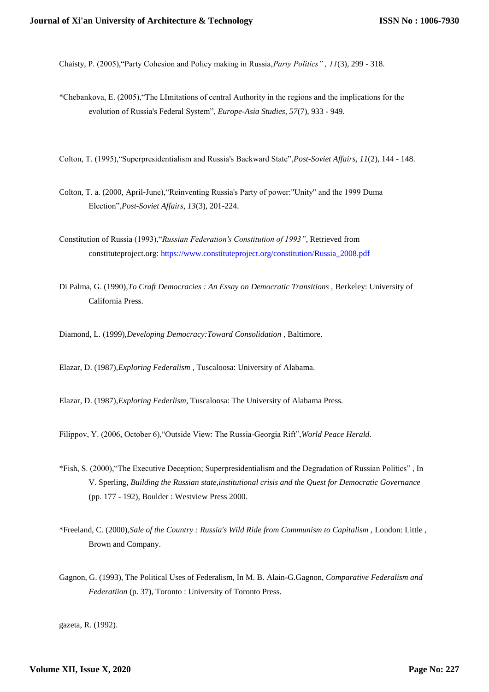Chaisty, P. (2005),"Party Cohesion and Policy making in Russia,*Party Politics" , 11*(3), 299 - 318.

- \*Chebankova, E. (2005),"The LImitations of central Authority in the regions and the implications for the evolution of Russia's Federal System", *Europe-Asia Studies, 57*(7), 933 - 949.
- Colton, T. (1995),"Superpresidentialism and Russia's Backward State",*Post-Soviet Affairs, 11*(2), 144 148.
- Colton, T. a. (2000, April-June),"Reinventing Russia's Party of power:"Unity" and the 1999 Duma Election",*Post-Soviet Affairs, 13*(3), 201-224.
- Constitution of Russia (1993),"*Russian Federation's Constitution of 1993"*, Retrieved from constituteproject.org: [https://www.constituteproject.org/constitution/Russia\\_2008.pdf](https://www.constituteproject.org/constitution/Russia_2008.pdf)
- Di Palma, G. (1990),*To Craft Democracies : An Essay on Democratic Transitions ,* Berkeley: University of California Press.
- Diamond, L. (1999),*Developing Democracy:Toward Consolidation ,* Baltimore.

Elazar, D. (1987),*Exploring Federalism ,* Tuscaloosa: University of Alabama.

Elazar, D. (1987),*Exploring Federlism,* Tuscaloosa: The University of Alabama Press.

Filippov, Y. (2006, October 6),"Outside View: The Russia‐Georgia Rift",*World Peace Herald*.

- \*Fish, S. (2000),"The Executive Deception; Superpresidentialism and the Degradation of Russian Politics" , In V. Sperling, *Building the Russian state,institutional crisis and the Quest for Democratic Governance*  (pp. 177 - 192), Boulder : Westview Press 2000.
- \*Freeland, C. (2000),*Sale of the Country : Russia's Wild Ride from Communism to Capitalism ,* London: Little , Brown and Company.
- Gagnon, G. (1993), The Political Uses of Federalism, In M. B. Alain-G.Gagnon, *Comparative Federalism and Federatiion* (p. 37), Toronto : University of Toronto Press.

gazeta, R. (1992).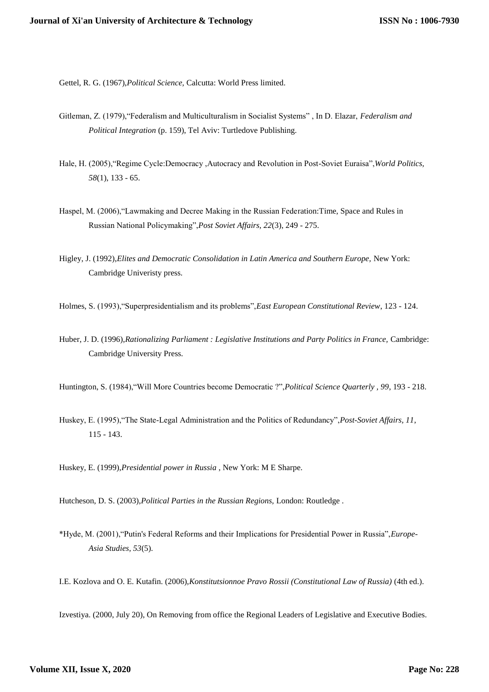Gettel, R. G. (1967),*Political Science,* Calcutta: World Press limited.

- Gitleman, Z. (1979),"Federalism and Multiculturalism in Socialist Systems" , In D. Elazar, *Federalism and Political Integration* (p. 159), Tel Aviv: Turtledove Publishing.
- Hale, H. (2005),"Regime Cycle:Democracy ,Autocracy and Revolution in Post-Soviet Euraisa",*World Politics, 58*(1), 133 - 65.
- Haspel, M. (2006),"Lawmaking and Decree Making in the Russian Federation:Time, Space and Rules in Russian National Policymaking",*Post Soviet Affairs, 22*(3), 249 - 275.
- Higley, J. (1992),*Elites and Democratic Consolidation in Latin America and Southern Europe,* New York: Cambridge Univeristy press.
- Holmes, S. (1993),"Superpresidentialism and its problems",*East European Constitutional Review*, 123 124.
- Huber, J. D. (1996),*Rationalizing Parliament : Legislative Institutions and Party Politics in France,* Cambridge: Cambridge University Press.
- Huntington, S. (1984),"Will More Countries become Democratic ?",*Political Science Quarterly , 99*, 193 218.
- Huskey, E. (1995),"The State-Legal Administration and the Politics of Redundancy",*Post-Soviet Affairs, 11*, 115 - 143.
- Huskey, E. (1999),*Presidential power in Russia ,* New York: M E Sharpe.

Hutcheson, D. S. (2003),*Political Parties in the Russian Regions,* London: Routledge .

- \*Hyde, M. (2001),"Putin's Federal Reforms and their Implications for Presidential Power in Russia",*Europe-Asia Studies, 53*(5).
- I.E. Kozlova and O. E. Kutafin. (2006),*Konstitutsionnoe Pravo Rossii (Constitutional Law of Russia)* (4th ed.).

Izvestiya. (2000, July 20), On Removing from office the Regional Leaders of Legislative and Executive Bodies.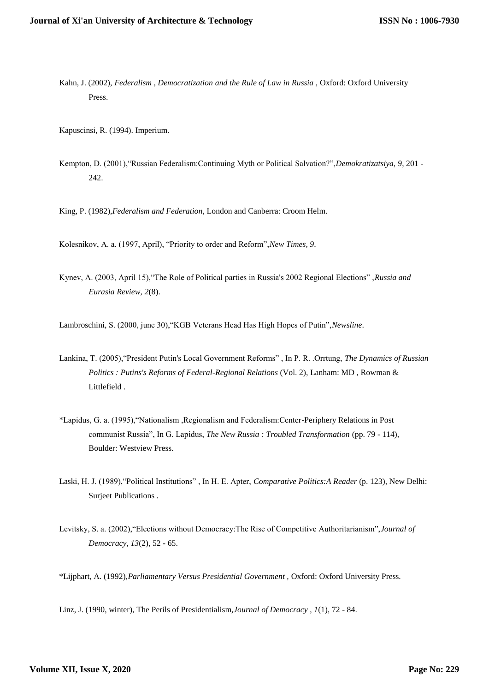- Kahn, J. (2002), *Federalism , Democratization and the Rule of Law in Russia ,* Oxford: Oxford University Press.
- Kapuscinsi, R. (1994). Imperium.
- Kempton, D. (2001),"Russian Federalism:Continuing Myth or Political Salvation?",*Demokratizatsiya, 9*, 201 242.

King, P. (1982),*Federalism and Federation,* London and Canberra: Croom Helm.

Kolesnikov, A. a. (1997, April), "Priority to order and Reform",*New Times, 9*.

Kynev, A. (2003, April 15),"The Role of Political parties in Russia's 2002 Regional Elections" ,*Russia and Eurasia Review, 2*(8).

Lambroschini, S. (2000, june 30),"KGB Veterans Head Has High Hopes of Putin",*Newsline*.

- Lankina, T. (2005),"President Putin's Local Government Reforms" , In P. R. .Orrtung, *The Dynamics of Russian Politics : Putins's Reforms of Federal-Regional Relations* (Vol. 2), Lanham: MD , Rowman & Littlefield .
- \*Lapidus, G. a. (1995),"Nationalism ,Regionalism and Federalism:Center-Periphery Relations in Post communist Russia", In G. Lapidus, *The New Russia : Troubled Transformation* (pp. 79 - 114), Boulder: Westview Press.
- Laski, H. J. (1989),"Political Institutions" , In H. E. Apter, *Comparative Politics:A Reader* (p. 123), New Delhi: Surjeet Publications .
- Levitsky, S. a. (2002),"Elections without Democracy:The Rise of Competitive Authoritarianism",*Journal of Democracy, 13*(2), 52 - 65.

\*Lijphart, A. (1992),*Parliamentary Versus Presidential Government ,* Oxford: Oxford University Press.

Linz, J. (1990, winter), The Perils of Presidentialism,*Journal of Democracy , 1*(1), 72 - 84.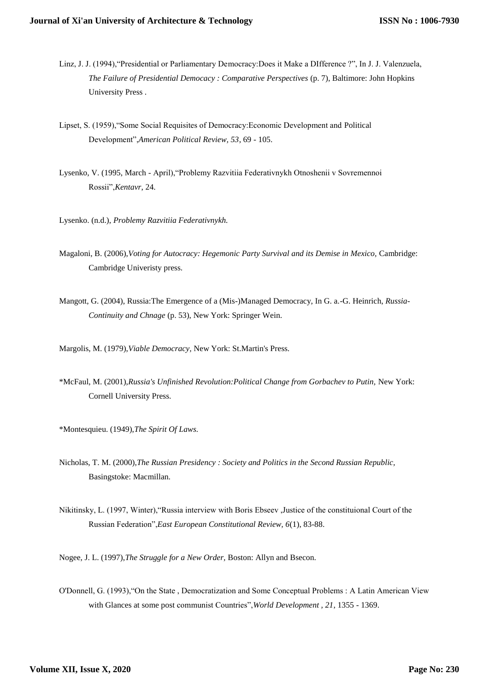- Linz, J. J. (1994),"Presidential or Parliamentary Democracy:Does it Make a DIfference ?", In J. J. Valenzuela, *The Failure of Presidential Democacy : Comparative Perspectives* (p. 7), Baltimore: John Hopkins University Press .
- Lipset, S. (1959),"Some Social Requisites of Democracy:Economic Development and Political Development",*American Political Review, 53*, 69 - 105.
- Lysenko, V. (1995, March April),"Problemy Razvitiia Federativnykh Otnoshenii v Sovremennoi Rossii",*Kentavr*, 24.
- Lysenko. (n.d.), *Problemy Razvitiia Federativnykh.*
- Magaloni, B. (2006),*Voting for Autocracy: Hegemonic Party Survival and its Demise in Mexico,* Cambridge: Cambridge Univeristy press.
- Mangott, G. (2004), Russia:The Emergence of a (Mis-)Managed Democracy, In G. a.-G. Heinrich, *Russia-Continuity and Chnage* (p. 53), New York: Springer Wein.
- Margolis, M. (1979),*Viable Democracy,* New York: St.Martin's Press.
- \*McFaul, M. (2001),*Russia's Unfinished Revolution:Political Change from Gorbachev to Putin,* New York: Cornell University Press.
- \*Montesquieu. (1949),*The Spirit Of Laws.*
- Nicholas, T. M. (2000),*The Russian Presidency : Society and Politics in the Second Russian Republic,* Basingstoke: Macmillan.
- Nikitinsky, L. (1997, Winter),"Russia interview with Boris Ebseev ,Justice of the constituional Court of the Russian Federation",*East European Constitutional Review, 6*(1), 83-88.

Nogee, J. L. (1997),*The Struggle for a New Order,* Boston: Allyn and Bsecon.

O'Donnell, G. (1993),"On the State , Democratization and Some Conceptual Problems : A Latin American View with Glances at some post communist Countries",*World Development , 21*, 1355 - 1369.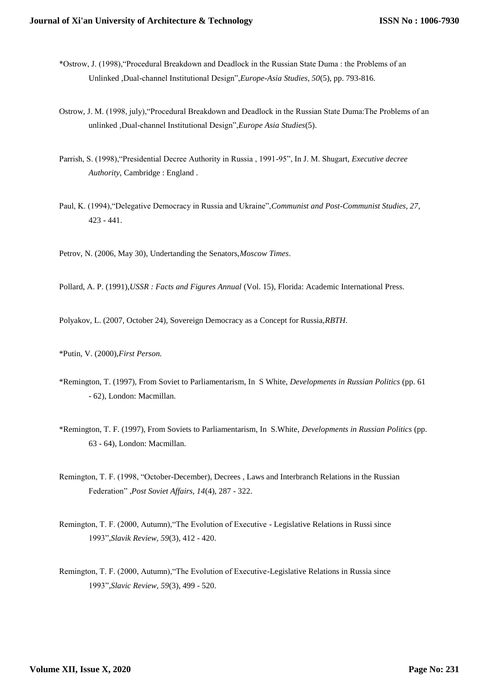- \*Ostrow, J. (1998),"Procedural Breakdown and Deadlock in the Russian State Duma : the Problems of an Unlinked ,Dual-channel Institutional Design",*Europe-Asia Studies, 50*(5), pp. 793-816.
- Ostrow, J. M. (1998, july),"Procedural Breakdown and Deadlock in the Russian State Duma:The Problems of an unlinked ,Dual-channel Institutional Design",*Europe Asia Studies*(5).
- Parrish, S. (1998),"Presidential Decree Authority in Russia , 1991-95", In J. M. Shugart, *Executive decree Authority,* Cambridge : England .
- Paul, K. (1994),"Delegative Democracy in Russia and Ukraine",*Communist and Post-Communist Studies, 27*, 423 - 441.

Petrov, N. (2006, May 30), Undertanding the Senators,*Moscow Times*.

Pollard, A. P. (1991),*USSR : Facts and Figures Annual* (Vol. 15), Florida: Academic International Press.

Polyakov, L. (2007, October 24), Sovereign Democracy as a Concept for Russia,*RBTH*.

\*Putin, V. (2000),*First Person.*

- \*Remington, T. (1997), From Soviet to Parliamentarism, In S White, *Developments in Russian Politics* (pp. 61 - 62), London: Macmillan.
- \*Remington, T. F. (1997), From Soviets to Parliamentarism, In S.White, *Developments in Russian Politics* (pp. 63 - 64), London: Macmillan.
- Remington, T. F. (1998, "October-December), Decrees , Laws and Interbranch Relations in the Russian Federation" ,*Post Soviet Affairs, 14*(4), 287 - 322.
- Remington, T. F. (2000, Autumn),"The Evolution of Executive Legislative Relations in Russi since 1993",*Slavik Review, 59*(3), 412 - 420.
- Remington, T. F. (2000, Autumn),"The Evolution of Executive-Legislative Relations in Russia since 1993",*Slavic Review, 59*(3), 499 - 520.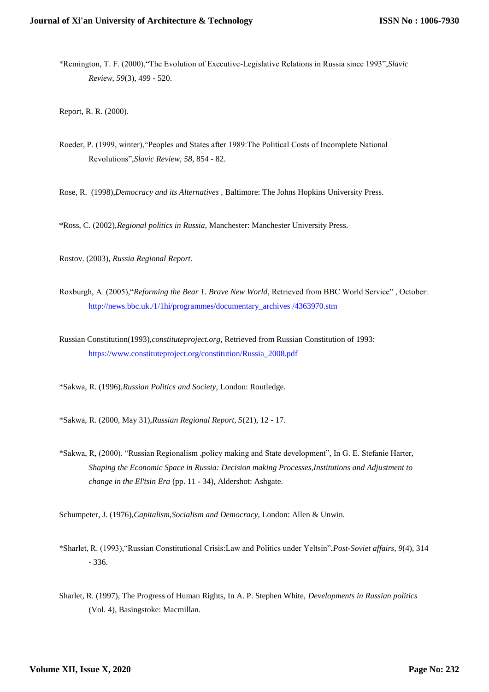\*Remington, T. F. (2000),"The Evolution of Executive-Legislative Relations in Russia since 1993",*Slavic Review, 59*(3), 499 - 520.

Report, R. R. (2000).

Roeder, P. (1999, winter),"Peoples and States after 1989:The Political Costs of Incomplete National Revolutions",*Slavic Review, 58*, 854 - 82.

Rose, R. (1998),*Democracy and its Alternatives ,* Baltimore: The Johns Hopkins University Press.

\*Ross, C. (2002),*Regional politics in Russia,* Manchester: Manchester University Press.

Rostov. (2003), *Russia Regional Report.*

Roxburgh, A. (2005),"*Reforming the Bear 1. Brave New World*, Retrieved from BBC World Service" , October: [http://news.bbc.uk./1/1hi/programmes/documentary\\_archives /4363970.stm](http://news.bbc.uk./1/1hi/programmes/documentary_archives%20/4363970.stm)

Russian Constitution(1993),*constituteproject.org*, Retrieved from Russian Constitution of 1993: [https://www.constituteproject.org/constitution/Russia\\_2008.pdf](https://www.constituteproject.org/constitution/Russia_2008.pdf)

\*Sakwa, R. (1996),*Russian Politics and Society,* London: Routledge.

\*Sakwa, R. (2000, May 31),*Russian Regional Report, 5*(21), 12 - 17.

\*Sakwa, R, (2000). "Russian Regionalism ,policy making and State development", In G. E. Stefanie Harter, *Shaping the Economic Space in Russia: Decision making Processes,Institutions and Adjustment to change in the El'tsin Era* (pp. 11 - 34), Aldershot: Ashgate.

Schumpeter, J. (1976),*Capitalism,Socialism and Democracy,* London: Allen & Unwin.

- \*Sharlet, R. (1993),"Russian Constitutional Crisis:Law and Politics under Yeltsin",*Post-Soviet affairs, 9*(4), 314 - 336.
- Sharlet, R. (1997), The Progress of Human Rights, In A. P. Stephen White, *Developments in Russian politics* (Vol. 4), Basingstoke: Macmillan.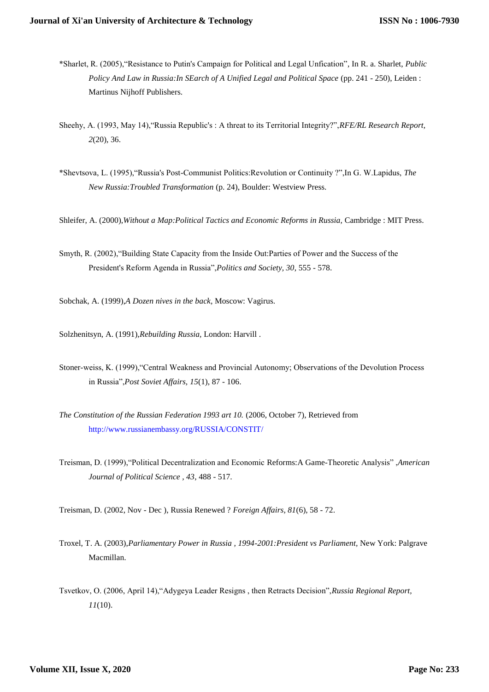- \*Sharlet, R. (2005),"Resistance to Putin's Campaign for Political and Legal Unfication", In R. a. Sharlet, *Public Policy And Law in Russia:In SEarch of A Unified Legal and Political Space* (pp. 241 - 250), Leiden : Martinus Nijhoff Publishers.
- Sheehy, A. (1993, May 14),"Russia Republic's : A threat to its Territorial Integrity?",*RFE/RL Research Report, 2*(20), 36.
- \*Shevtsova, L. (1995),"Russia's Post-Communist Politics:Revolution or Continuity ?",In G. W.Lapidus, *The New Russia:Troubled Transformation* (p. 24), Boulder: Westview Press.
- Shleifer, A. (2000),*Without a Map:Political Tactics and Economic Reforms in Russia,* Cambridge : MIT Press.
- Smyth, R. (2002),"Building State Capacity from the Inside Out:Parties of Power and the Success of the President's Reform Agenda in Russia",*Politics and Society, 30*, 555 - 578.
- Sobchak, A. (1999),*A Dozen nives in the back,* Moscow: Vagirus.
- Solzhenitsyn, A. (1991),*Rebuilding Russia,* London: Harvill .
- Stoner-weiss, K. (1999),"Central Weakness and Provincial Autonomy; Observations of the Devolution Process in Russia",*Post Soviet Affairs, 15*(1), 87 - 106.
- *The Constitution of the Russian Federation 1993 art 10.* (2006, October 7), Retrieved from <http://www.russianembassy.org/RUSSIA/CONSTIT/>
- Treisman, D. (1999),"Political Decentralization and Economic Reforms:A Game-Theoretic Analysis" ,*American Journal of Political Science , 43*, 488 - 517.
- Treisman, D. (2002, Nov Dec ), Russia Renewed ? *Foreign Affairs, 81*(6), 58 72.
- Troxel, T. A. (2003),*Parliamentary Power in Russia , 1994-2001:President vs Parliament,* New York: Palgrave Macmillan.
- Tsvetkov, O. (2006, April 14),"Adygeya Leader Resigns , then Retracts Decision",*Russia Regional Report, 11*(10).